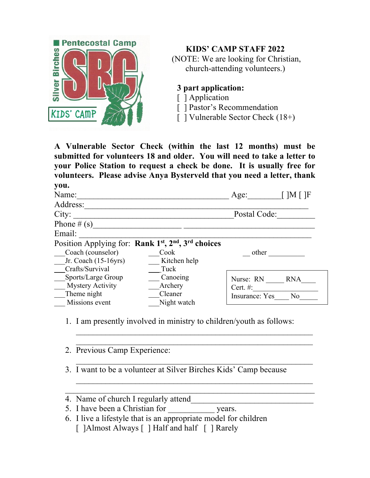

**KIDS' CAMP STAFF 2022**

(NOTE: We are looking for Christian, church-attending volunteers.)

**3 part application:**

[ ] Application

[] Pastor's Recommendation

[ ] Vulnerable Sector Check (18+)

**A Vulnerable Sector Check (within the last 12 months) must be submitted for volunteers 18 and older. You will need to take a letter to your Police Station to request a check be done. It is usually free for volunteers. Please advise Anya Bysterveld that you need a letter, thank you.**

| Name:                                                                                   |              | Age:                  | $\Box M \Box F$ |
|-----------------------------------------------------------------------------------------|--------------|-----------------------|-----------------|
| Address:                                                                                |              |                       |                 |
| City:                                                                                   | Postal Code: |                       |                 |
| Phone $\#(s)$                                                                           |              |                       |                 |
| Email:                                                                                  |              |                       |                 |
| Position Applying for: Rank 1 <sup>st</sup> , 2 <sup>nd</sup> , 3 <sup>rd</sup> choices |              |                       |                 |
| Coach (counselor)                                                                       | Cook         | other                 |                 |
| Jr. Coach $(15-16yrs)$                                                                  | Kitchen help |                       |                 |
| Crafts/Survival                                                                         | Tuck         |                       |                 |
| Sports/Large Group                                                                      | Canoeing     | Nurse: RN             | <b>RNA</b>      |
| <b>Mystery Activity</b>                                                                 | Archery      | Cert. $#$ :           |                 |
| Theme night                                                                             | Cleaner      | <b>Insurance:</b> Yes | No              |
| Missions event                                                                          | Night watch  |                       |                 |

1. I am presently involved in ministry to children/youth as follows:

 $\_$  , and the set of the set of the set of the set of the set of the set of the set of the set of the set of the set of the set of the set of the set of the set of the set of the set of the set of the set of the set of th  $\mathcal{L}_\text{max}$  and the contract of the contract of the contract of the contract of the contract of the contract of

 $\_$  , and the set of the set of the set of the set of the set of the set of the set of the set of the set of the set of the set of the set of the set of the set of the set of the set of the set of the set of the set of th

 $\_$  , and the set of the set of the set of the set of the set of the set of the set of the set of the set of the set of the set of the set of the set of the set of the set of the set of the set of the set of the set of th

2. Previous Camp Experience:

3. I want to be a volunteer at Silver Birches Kids' Camp because

- 4. Name of church I regularly attend
- 5. I have been a Christian for years.
- 6. I live a lifestyle that is an appropriate model for children [ ]Almost Always [ ] Half and half [ ] Rarely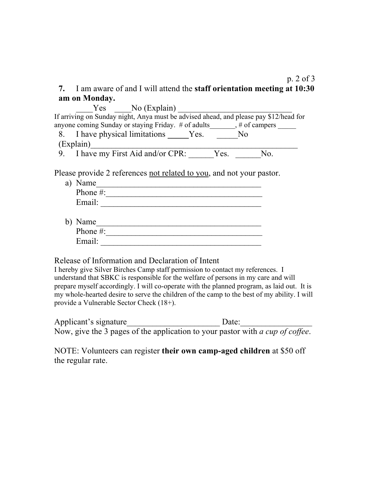## p. 2 of 3 **7.** I am aware of and I will attend the **staff orientation meeting at 10:30 am on Monday.**

 $Yes$   $No$  (Explain) If arriving on Sunday night, Anya must be advised ahead, and please pay \$12/head for anyone coming Sunday or staying Friday. # of adults\_\_\_\_\_\_, # of campers \_\_\_\_\_\_ 8. I have physical limitations \_\_\_\_\_Yes. \_\_\_\_\_No  $(Explain)$ 9. I have my First Aid and/or CPR: Yes. No.

Please provide 2 references not related to you, and not your pastor.

| a) Name      |
|--------------|
| Phone $\#$ : |
| Email:       |
|              |

| b) Name      |  |
|--------------|--|
| Phone $\#$ : |  |
| Email:       |  |

Release of Information and Declaration of Intent

I hereby give Silver Birches Camp staff permission to contact my references. I understand that SBKC is responsible for the welfare of persons in my care and will prepare myself accordingly. I will co-operate with the planned program, as laid out. It is my whole-hearted desire to serve the children of the camp to the best of my ability. I will provide a Vulnerable Sector Check (18+).

| Applicant's signature | Date:                                                                                 |  |
|-----------------------|---------------------------------------------------------------------------------------|--|
|                       | Now, give the 3 pages of the application to your pastor with <i>a cup of coffee</i> . |  |

NOTE: Volunteers can register **their own camp-aged children** at \$50 off the regular rate.